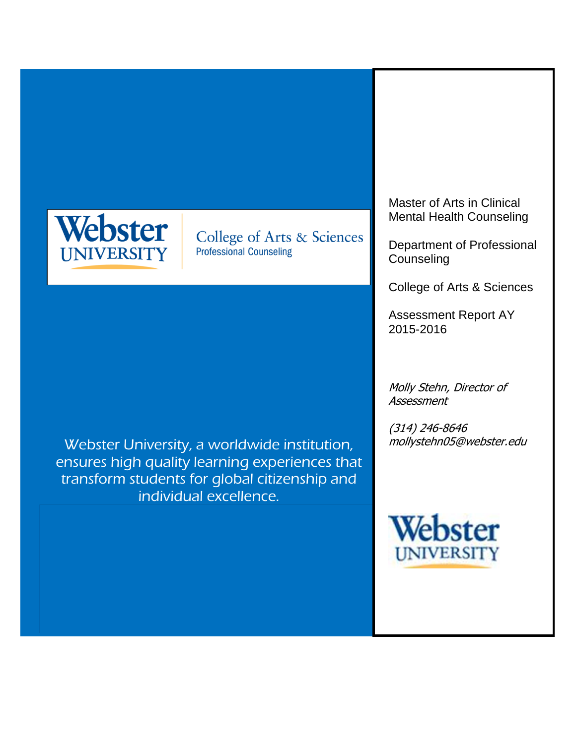

College of Arts & Sciences **Professional Counseling** 

Webster University, a worldwide institution, ensures high quality learning experiences that transform students for global citizenship and individual excellence.

Master of Arts in Clinical Mental Health Counseling

Department of Professional **Counseling** 

College of Arts & Sciences

Assessment Report AY 2015-2016

Molly Stehn, Director of Assessment

(314) 246-8646 mollystehn05@webster.edu

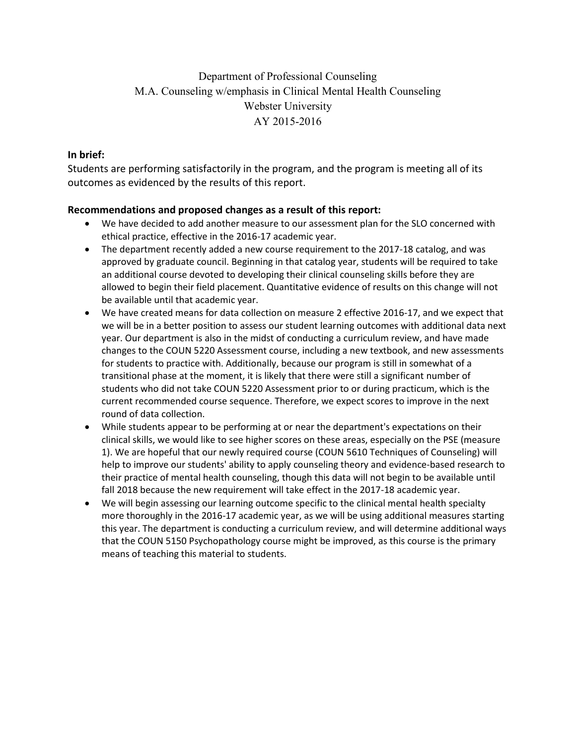## Department of Professional Counseling M.A. Counseling w/emphasis in Clinical Mental Health Counseling Webster University AY 2015-2016

### **In brief:**

Students are performing satisfactorily in the program, and the program is meeting all of its outcomes as evidenced by the results of this report.

#### **Recommendations and proposed changes as a result of this report:**

- We have decided to add another measure to our assessment plan for the SLO concerned with ethical practice, effective in the 2016-17 academic year.
- The department recently added a new course requirement to the 2017-18 catalog, and was approved by graduate council. Beginning in that catalog year, students will be required to take an additional course devoted to developing their clinical counseling skills before they are allowed to begin their field placement. Quantitative evidence of results on this change will not be available until that academic year.
- We have created means for data collection on measure 2 effective 2016-17, and we expect that we will be in a better position to assess our student learning outcomes with additional data next year. Our department is also in the midst of conducting a curriculum review, and have made changes to the COUN 5220 Assessment course, including a new textbook, and new assessments for students to practice with. Additionally, because our program is still in somewhat of a transitional phase at the moment, it is likely that there were still a significant number of students who did not take COUN 5220 Assessment prior to or during practicum, which is the current recommended course sequence. Therefore, we expect scores to improve in the next round of data collection.
- While students appear to be performing at or near the department's expectations on their clinical skills, we would like to see higher scores on these areas, especially on the PSE (measure 1). We are hopeful that our newly required course (COUN 5610 Techniques of Counseling) will help to improve our students' ability to apply counseling theory and evidence-based research to their practice of mental health counseling, though this data will not begin to be available until fall 2018 because the new requirement will take effect in the 2017-18 academic year.
- We will begin assessing our learning outcome specific to the clinical mental health specialty more thoroughly in the 2016-17 academic year, as we will be using additional measures starting this year. The department is conducting a curriculum review, and will determine additional ways that the COUN 5150 Psychopathology course might be improved, as this course is the primary means of teaching this material to students.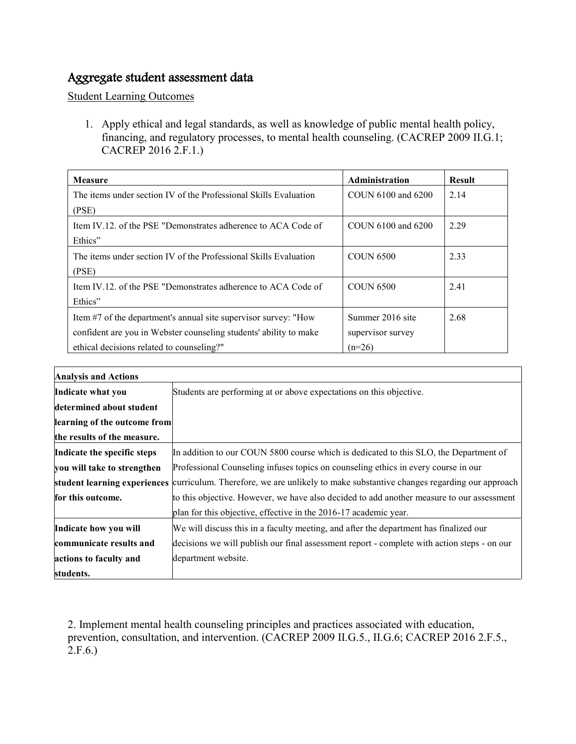## Aggregate student assessment data

Student Learning Outcomes

1. Apply ethical and legal standards, as well as knowledge of public mental health policy, financing, and regulatory processes, to mental health counseling. (CACREP 2009 II.G.1; CACREP 2016 2.F.1.)

| <b>Measure</b>                                                    | Administration     | <b>Result</b> |
|-------------------------------------------------------------------|--------------------|---------------|
| The items under section IV of the Professional Skills Evaluation  | COUN 6100 and 6200 | 2.14          |
| (PSE)                                                             |                    |               |
| Item IV.12, of the PSE "Demonstrates adherence to ACA Code of     | COUN 6100 and 6200 | 2.29          |
| Ethics"                                                           |                    |               |
| The items under section IV of the Professional Skills Evaluation  | <b>COUN 6500</b>   | 2.33          |
| (PSE)                                                             |                    |               |
| Item IV.12, of the PSE "Demonstrates adherence to ACA Code of     | <b>COUN 6500</b>   | 2.41          |
| Ethics"                                                           |                    |               |
| Item #7 of the department's annual site supervisor survey: "How   | Summer 2016 site   | 2.68          |
| confident are you in Webster counseling students' ability to make | supervisor survey  |               |
| ethical decisions related to counseling?"                         | $(n=26)$           |               |

| <b>Analysis and Actions</b>  |                                                                                                                        |  |  |
|------------------------------|------------------------------------------------------------------------------------------------------------------------|--|--|
| Indicate what you            | Students are performing at or above expectations on this objective.                                                    |  |  |
| determined about student     |                                                                                                                        |  |  |
| learning of the outcome from |                                                                                                                        |  |  |
| the results of the measure.  |                                                                                                                        |  |  |
| Indicate the specific steps  | In addition to our COUN 5800 course which is dedicated to this SLO, the Department of                                  |  |  |
| you will take to strengthen  | Professional Counseling infuses topics on counseling ethics in every course in our                                     |  |  |
|                              | student learning experiences curriculum. Therefore, we are unlikely to make substantive changes regarding our approach |  |  |
| for this outcome.            | to this objective. However, we have also decided to add another measure to our assessment                              |  |  |
|                              | plan for this objective, effective in the 2016-17 academic year.                                                       |  |  |
| Indicate how you will        | We will discuss this in a faculty meeting, and after the department has finalized our                                  |  |  |
| communicate results and      | decisions we will publish our final assessment report - complete with action steps - on our                            |  |  |
| actions to faculty and       | department website.                                                                                                    |  |  |
| students.                    |                                                                                                                        |  |  |

2. Implement mental health counseling principles and practices associated with education, prevention, consultation, and intervention. (CACREP 2009 II.G.5., II.G.6; CACREP 2016 2.F.5.,  $2.F.6.$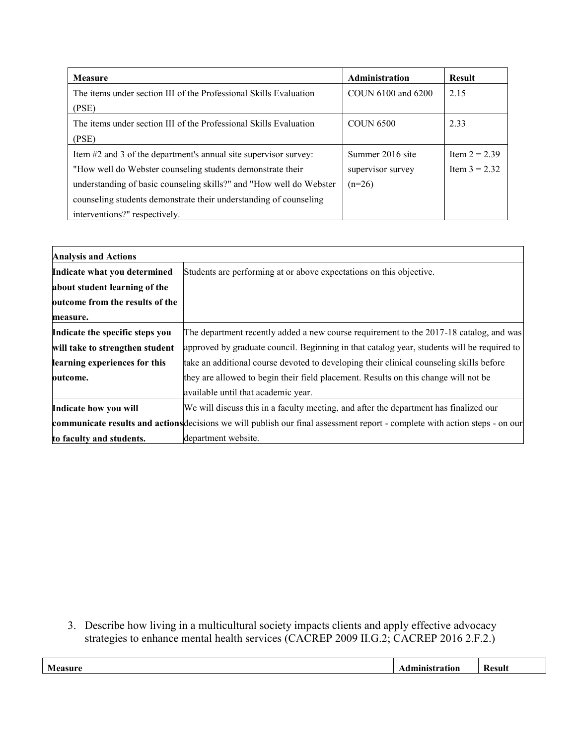| <b>Measure</b>                                                      | Administration     | <b>Result</b>   |
|---------------------------------------------------------------------|--------------------|-----------------|
| The items under section III of the Professional Skills Evaluation   | COUN 6100 and 6200 | 2.15            |
| (PSE)                                                               |                    |                 |
| The items under section III of the Professional Skills Evaluation   | <b>COUN 6500</b>   | 2.33            |
| (PSE)                                                               |                    |                 |
| Item #2 and 3 of the department's annual site supervisor survey:    | Summer 2016 site   | Item $2 = 2.39$ |
| "How well do Webster counseling students demonstrate their          | supervisor survey  | Item $3 = 2.32$ |
| understanding of basic counseling skills?" and "How well do Webster | $(n=26)$           |                 |
| counseling students demonstrate their understanding of counseling   |                    |                 |
| interventions?" respectively.                                       |                    |                 |

| <b>Analysis and Actions</b>     |                                                                                                                             |
|---------------------------------|-----------------------------------------------------------------------------------------------------------------------------|
| Indicate what you determined    | Students are performing at or above expectations on this objective.                                                         |
| about student learning of the   |                                                                                                                             |
| outcome from the results of the |                                                                                                                             |
| measure.                        |                                                                                                                             |
| Indicate the specific steps you | The department recently added a new course requirement to the 2017-18 catalog, and was                                      |
| will take to strengthen student | approved by graduate council. Beginning in that catalog year, students will be required to                                  |
| learning experiences for this   | take an additional course devoted to developing their clinical counseling skills before                                     |
| outcome.                        | they are allowed to begin their field placement. Results on this change will not be                                         |
|                                 | available until that academic year.                                                                                         |
| Indicate how you will           | We will discuss this in a faculty meeting, and after the department has finalized our                                       |
|                                 | communicate results and actions decisions we will publish our final assessment report - complete with action steps - on our |
| to faculty and students.        | department website.                                                                                                         |

3. Describe how living in a multicultural society impacts clients and apply effective advocacy strategies to enhance mental health services (CACREP 2009 II.G.2; CACREP 2016 2.F.2.)

| Measu.<br>. | 10 T | Kesult<br>. . |
|-------------|------|---------------|
|             |      |               |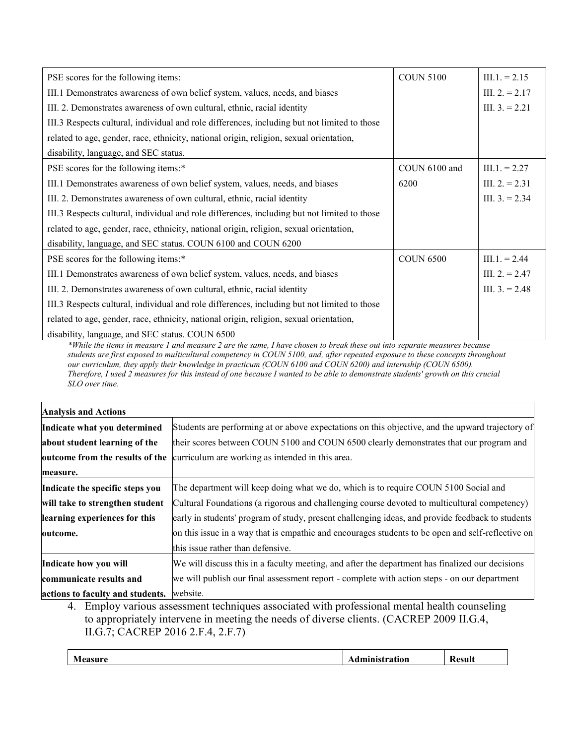| PSE scores for the following items:                                                          | <b>COUN 5100</b> | $III.1 = 2.15$   |
|----------------------------------------------------------------------------------------------|------------------|------------------|
| III.1 Demonstrates awareness of own belief system, values, needs, and biases                 |                  | III. $2 = 2.17$  |
| III. 2. Demonstrates awareness of own cultural, ethnic, racial identity                      |                  | III. $3. = 2.21$ |
| III.3 Respects cultural, individual and role differences, including but not limited to those |                  |                  |
| related to age, gender, race, ethnicity, national origin, religion, sexual orientation,      |                  |                  |
| disability, language, and SEC status.                                                        |                  |                  |
| PSE scores for the following items:*                                                         | COUN 6100 and    | $III.1 = 2.27$   |
| III.1 Demonstrates awareness of own belief system, values, needs, and biases                 | 6200             | III. $2 = 2.31$  |
| III. 2. Demonstrates awareness of own cultural, ethnic, racial identity                      |                  | III. $3. = 2.34$ |
| III.3 Respects cultural, individual and role differences, including but not limited to those |                  |                  |
| related to age, gender, race, ethnicity, national origin, religion, sexual orientation,      |                  |                  |
| disability, language, and SEC status. COUN 6100 and COUN 6200                                |                  |                  |
| PSE scores for the following items:*                                                         | <b>COUN 6500</b> | $III.1 = 2.44$   |
| III.1 Demonstrates awareness of own belief system, values, needs, and biases                 |                  | III. $2 = 2.47$  |
| III. 2. Demonstrates awareness of own cultural, ethnic, racial identity                      |                  | III. $3. = 2.48$ |
| III.3 Respects cultural, individual and role differences, including but not limited to those |                  |                  |
| related to age, gender, race, ethnicity, national origin, religion, sexual orientation,      |                  |                  |
| disability, language, and SEC status. COUN 6500                                              |                  |                  |

*\*While the items in measure 1 and measure 2 are the same, I have chosen to break these out into separate measures because students are first exposed to multicultural competency in COUN 5100, and, after repeated exposure to these concepts throughout our curriculum, they apply their knowledge in practicum (COUN 6100 and COUN 6200) and internship (COUN 6500). Therefore, I used 2 measures for this instead of one because I wanted to be able to demonstrate students' growth on this crucial SLO over time.*

| <b>Analysis and Actions</b>      |                                                                                                   |
|----------------------------------|---------------------------------------------------------------------------------------------------|
| Indicate what you determined     | Students are performing at or above expectations on this objective, and the upward trajectory of  |
| about student learning of the    | their scores between COUN 5100 and COUN 6500 clearly demonstrates that our program and            |
|                                  | outcome from the results of the curriculum are working as intended in this area.                  |
| measure.                         |                                                                                                   |
| Indicate the specific steps you  | The department will keep doing what we do, which is to require COUN 5100 Social and               |
| will take to strengthen student  | Cultural Foundations (a rigorous and challenging course devoted to multicultural competency)      |
| learning experiences for this    | early in students' program of study, present challenging ideas, and provide feedback to students  |
| outcome.                         | on this issue in a way that is empathic and encourages students to be open and self-reflective on |
|                                  | this issue rather than defensive.                                                                 |
| Indicate how you will            | We will discuss this in a faculty meeting, and after the department has finalized our decisions   |
| communicate results and          | we will publish our final assessment report - complete with action steps - on our department      |
| actions to faculty and students. | website.<br>.                                                                                     |

4. Employ various assessment techniques associated with professional mental health counseling to appropriately intervene in meeting the needs of diverse clients. (CACREP 2009 II.G.4, II.G.7; CACREP 2016 2.F.4, 2.F.7)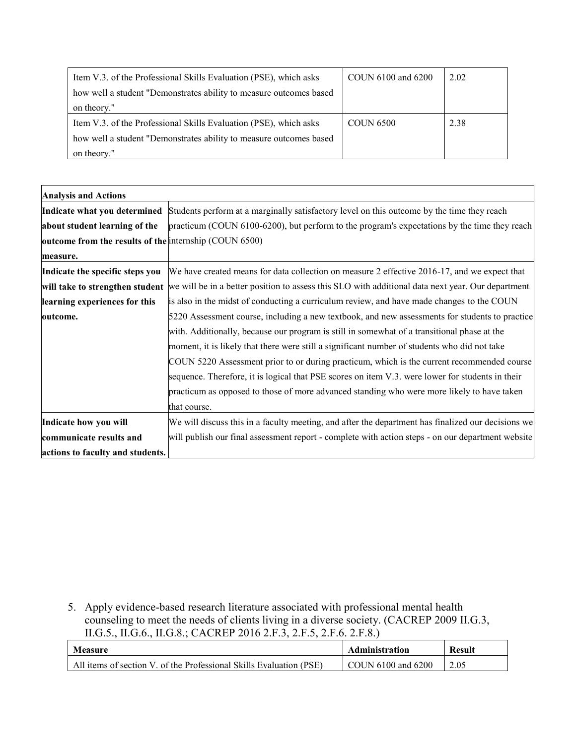| Item V.3. of the Professional Skills Evaluation (PSE), which asks  | COUN 6100 and 6200 | 2.02 |
|--------------------------------------------------------------------|--------------------|------|
| how well a student "Demonstrates ability to measure outcomes based |                    |      |
| on theory."                                                        |                    |      |
| Item V.3. of the Professional Skills Evaluation (PSE), which asks  | <b>COUN 6500</b>   | 2.38 |
| how well a student "Demonstrates ability to measure outcomes based |                    |      |
| on theory."                                                        |                    |      |

| <b>Analysis and Actions</b>                            |                                                                                                    |
|--------------------------------------------------------|----------------------------------------------------------------------------------------------------|
| Indicate what you determined                           | Students perform at a marginally satisfactory level on this outcome by the time they reach         |
| about student learning of the                          | practicum (COUN 6100-6200), but perform to the program's expectations by the time they reach       |
| outcome from the results of the internship (COUN 6500) |                                                                                                    |
| measure.                                               |                                                                                                    |
| Indicate the specific steps you                        | We have created means for data collection on measure 2 effective 2016-17, and we expect that       |
| will take to strengthen student                        | we will be in a better position to assess this SLO with additional data next year. Our department  |
| learning experiences for this                          | is also in the midst of conducting a curriculum review, and have made changes to the COUN          |
| outcome.                                               | 5220 Assessment course, including a new textbook, and new assessments for students to practice     |
|                                                        | with. Additionally, because our program is still in somewhat of a transitional phase at the        |
|                                                        | moment, it is likely that there were still a significant number of students who did not take       |
|                                                        | COUN 5220 Assessment prior to or during practicum, which is the current recommended course         |
|                                                        | sequence. Therefore, it is logical that PSE scores on item V.3. were lower for students in their   |
|                                                        | practicum as opposed to those of more advanced standing who were more likely to have taken         |
|                                                        | that course.                                                                                       |
| Indicate how you will                                  | We will discuss this in a faculty meeting, and after the department has finalized our decisions we |
| communicate results and                                | will publish our final assessment report - complete with action steps - on our department website  |
| actions to faculty and students.                       |                                                                                                    |

5. Apply evidence-based research literature associated with professional mental health counseling to meet the needs of clients living in a diverse society. (CACREP 2009 II.G.3, II.G.5., II.G.6., II.G.8.; CACREP 2016 2.F.3, 2.F.5, 2.F.6. 2.F.8.)

| Measure                                                             | Administration            | <b>Result</b> |
|---------------------------------------------------------------------|---------------------------|---------------|
| All items of section V, of the Professional Skills Evaluation (PSE) | $\mid$ COUN 6100 and 6200 | 2.05          |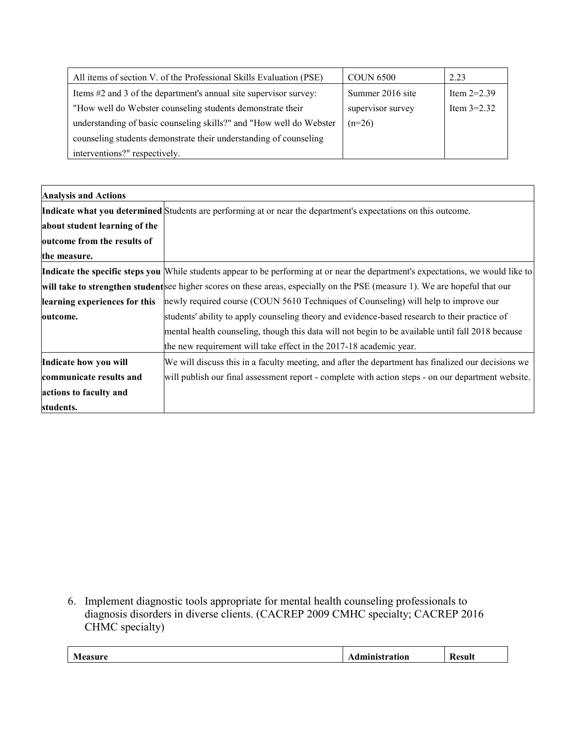| All items of section V. of the Professional Skills Evaluation (PSE) | <b>COUN 6500</b>  | 2.23          |
|---------------------------------------------------------------------|-------------------|---------------|
| Items #2 and 3 of the department's annual site supervisor survey:   | Summer 2016 site  | Item $2=2.39$ |
| "How well do Webster counseling students demonstrate their          | supervisor survey | Item $3=2.32$ |
| understanding of basic counseling skills?" and "How well do Webster | $(n=26)$          |               |
| counseling students demonstrate their understanding of counseling   |                   |               |
| interventions?" respectively.                                       |                   |               |

| <b>Analysis and Actions</b>   |                                                                                                                                   |
|-------------------------------|-----------------------------------------------------------------------------------------------------------------------------------|
|                               | Indicate what you determined Students are performing at or near the department's expectations on this outcome.                    |
| about student learning of the |                                                                                                                                   |
| outcome from the results of   |                                                                                                                                   |
| the measure.                  |                                                                                                                                   |
|                               | Indicate the specific steps you While students appear to be performing at or near the department's expectations, we would like to |
|                               | will take to strengthen studentsee higher scores on these areas, especially on the PSE (measure 1). We are hopeful that our       |
| learning experiences for this | newly required course (COUN 5610 Techniques of Counseling) will help to improve our                                               |
| outcome.                      | students' ability to apply counseling theory and evidence-based research to their practice of                                     |
|                               | mental health counseling, though this data will not begin to be available until fall 2018 because                                 |
|                               | the new requirement will take effect in the 2017-18 academic year.                                                                |
| Indicate how you will         | We will discuss this in a faculty meeting, and after the department has finalized our decisions we                                |
| communicate results and       | will publish our final assessment report - complete with action steps - on our department website.                                |
| actions to faculty and        |                                                                                                                                   |
| students.                     |                                                                                                                                   |

6. Implement diagnostic tools appropriate for mental health counseling professionals to diagnosis disorders in diverse clients. (CACREP 2009 CMHC specialty; CACREP 2016 CHMC specialty)

|                           | ----- |                          |
|---------------------------|-------|--------------------------|
| $\mathbb{R}$ $\mathbb{R}$ | VI.   | $\overline{\phantom{a}}$ |
| .                         |       | .                        |
|                           |       |                          |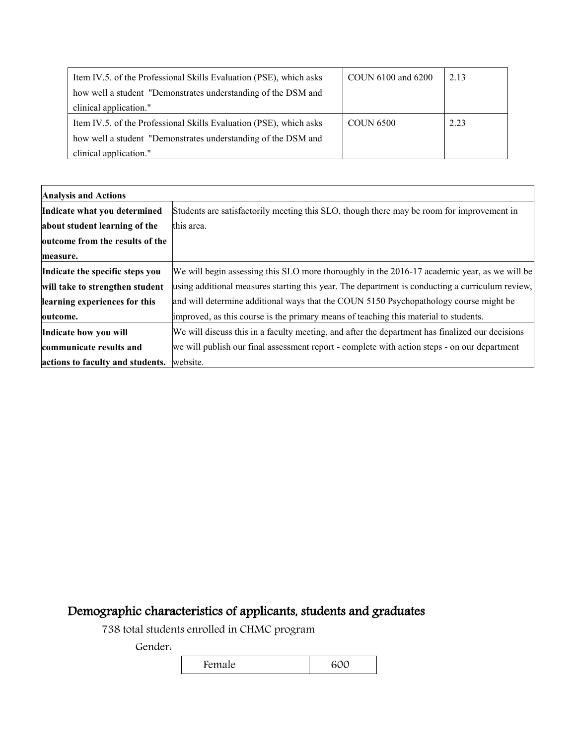| Item IV.5. of the Professional Skills Evaluation (PSE), which asks | COUN 6100 and 6200 | 2.13 |
|--------------------------------------------------------------------|--------------------|------|
| how well a student "Demonstrates understanding of the DSM and      |                    |      |
| clinical application."                                             |                    |      |
| Item IV.5. of the Professional Skills Evaluation (PSE), which asks | <b>COUN 6500</b>   | 2.23 |
| how well a student "Demonstrates understanding of the DSM and      |                    |      |
| clinical application."                                             |                    |      |

| <b>Analysis and Actions</b>      |                                                                                                 |
|----------------------------------|-------------------------------------------------------------------------------------------------|
| Indicate what you determined     | Students are satisfactorily meeting this SLO, though there may be room for improvement in       |
| about student learning of the    | this area.                                                                                      |
| outcome from the results of the  |                                                                                                 |
| measure.                         |                                                                                                 |
| Indicate the specific steps you  | We will begin assessing this SLO more thoroughly in the 2016-17 academic year, as we will be    |
| will take to strengthen student  | using additional measures starting this year. The department is conducting a curriculum review, |
| learning experiences for this    | and will determine additional ways that the COUN 5150 Psychopathology course might be           |
| outcome.                         | improved, as this course is the primary means of teaching this material to students.            |
| Indicate how you will            | We will discuss this in a faculty meeting, and after the department has finalized our decisions |
| communicate results and          | we will publish our final assessment report - complete with action steps - on our department    |
| actions to faculty and students. | website.                                                                                        |

# Demographic characteristics of applicants, students and graduates

738 total students enrolled in CHMC program

Gender:

Female 600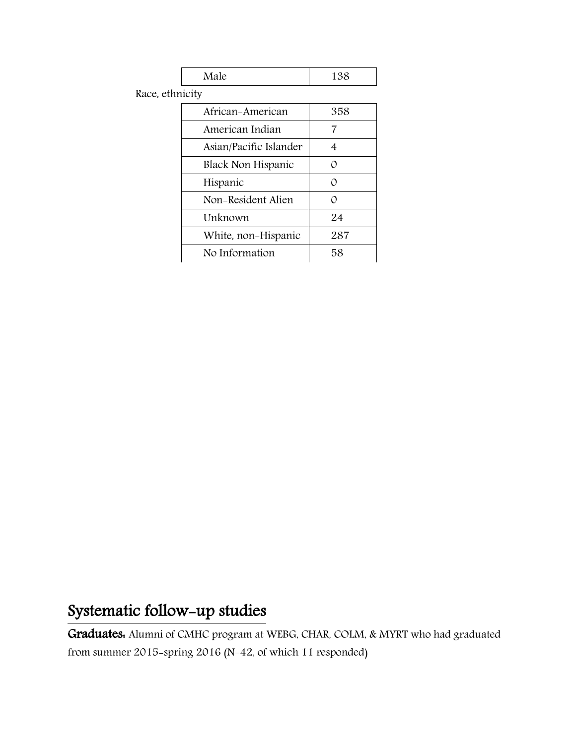|--|

Race, ethnicity

| African-American       | 358      |
|------------------------|----------|
| American Indian        | 7        |
| Asian/Pacific Islander | 4        |
| Black Non Hispanic     | $\Omega$ |
| Hispanic               | $\Omega$ |
| Non-Resident Alien     | ∩        |
| Unknown                | 24       |
| White, non-Hispanic    | 287      |
| No Information         | 58       |

# Systematic follow-up studies

Graduates: Alumni of CMHC program at WEBG, CHAR, COLM, & MYRT who had graduated from summer 2015-spring 2016 (N=42, of which 11 responded)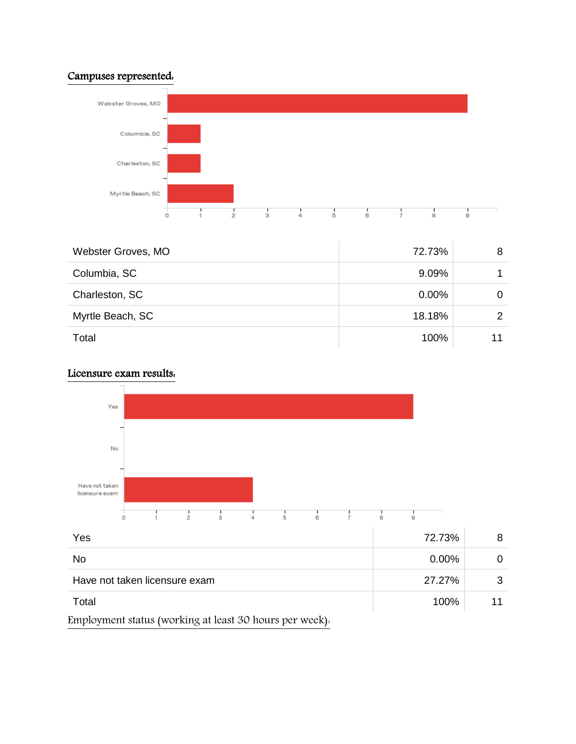### Campuses represented:



| Webster Groves, MO | 72.73%   | 8 |
|--------------------|----------|---|
| Columbia, SC       | 9.09%    |   |
| Charleston, SC     | $0.00\%$ |   |
| Myrtle Beach, SC   | 18.18%   |   |
| Total              | 100%     |   |

### Licensure exam results:

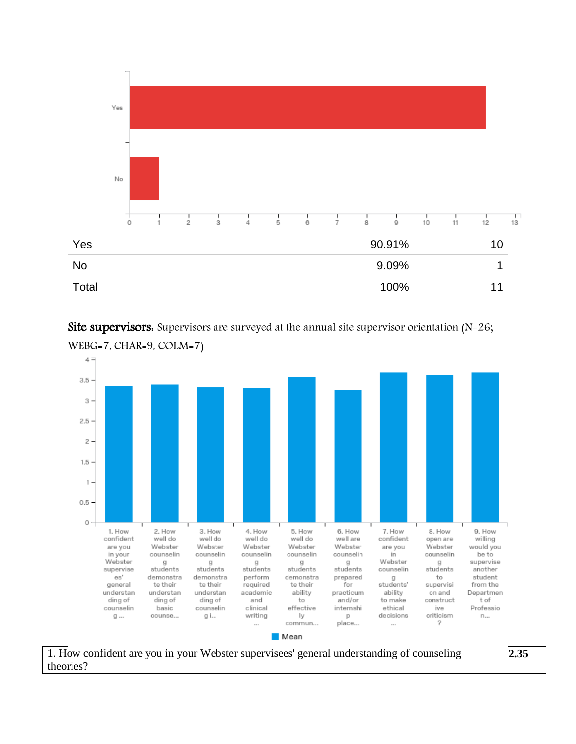

Site supervisors. Supervisors are surveyed at the annual site supervisor orientation (N=26; WEBG=7, CHAR=9, COLM=7)



**■** Mean

1. How confident are you in your Webster supervisees' general understanding of counseling theories?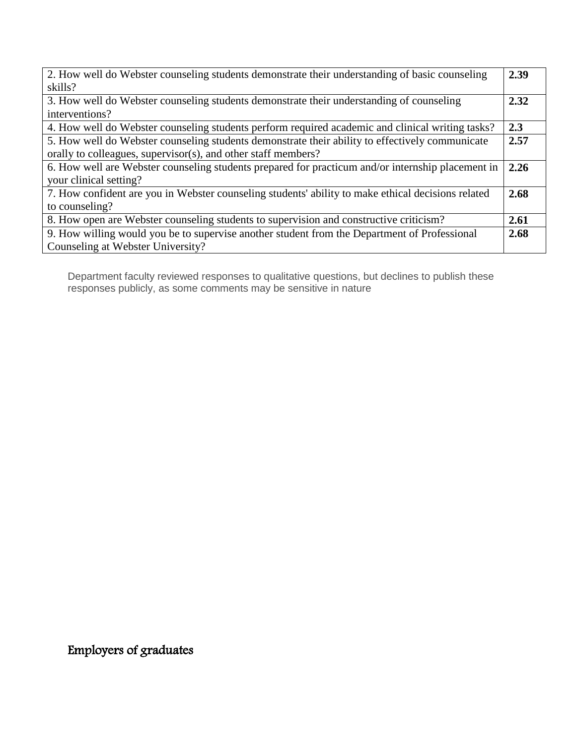| 2. How well do Webster counseling students demonstrate their understanding of basic counseling     |      |
|----------------------------------------------------------------------------------------------------|------|
| skills?                                                                                            |      |
| 3. How well do Webster counseling students demonstrate their understanding of counseling           | 2.32 |
| interventions?                                                                                     |      |
| 4. How well do Webster counseling students perform required academic and clinical writing tasks?   | 2.3  |
| 5. How well do Webster counseling students demonstrate their ability to effectively communicate    | 2.57 |
| orally to colleagues, supervisor(s), and other staff members?                                      |      |
| 6. How well are Webster counseling students prepared for practicum and/or internship placement in  | 2.26 |
| your clinical setting?                                                                             |      |
| 7. How confident are you in Webster counseling students' ability to make ethical decisions related |      |
| to counseling?                                                                                     |      |
| 8. How open are Webster counseling students to supervision and constructive criticism?             |      |
| 9. How willing would you be to supervise another student from the Department of Professional       |      |
| Counseling at Webster University?                                                                  |      |

Department faculty reviewed responses to qualitative questions, but declines to publish these responses publicly, as some comments may be sensitive in nature

Employers of graduates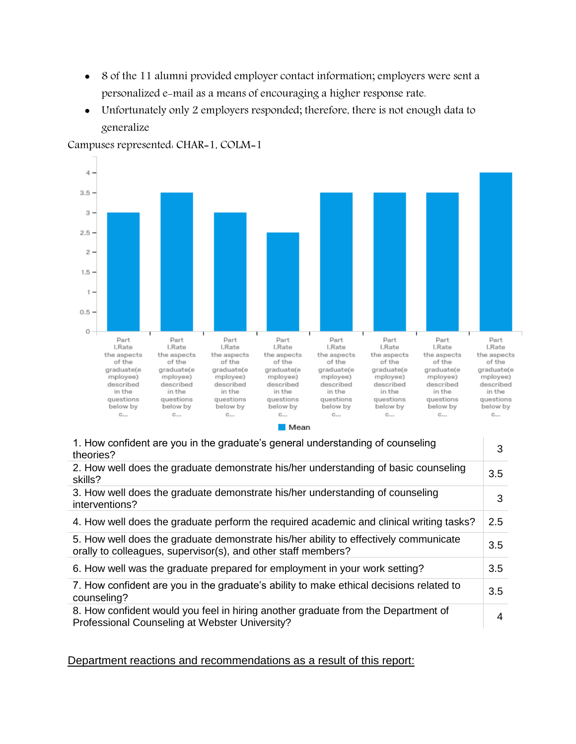- 8 of the 11 alumni provided employer contact information; employers were sent a personalized e-mail as a means of encouraging a higher response rate.
- Unfortunately only 2 employers responded; therefore, there is not enough data to generalize



Campuses represented: CHAR=1, COLM=1

 $\blacksquare$  Mean

| 1. How confident are you in the graduate's general understanding of counseling<br>theories?                                                           | 3   |
|-------------------------------------------------------------------------------------------------------------------------------------------------------|-----|
| 2. How well does the graduate demonstrate his/her understanding of basic counseling<br>skills?                                                        | 3.5 |
| 3. How well does the graduate demonstrate his/her understanding of counseling<br>interventions?                                                       | 3   |
| 4. How well does the graduate perform the required academic and clinical writing tasks?                                                               | 2.5 |
| 5. How well does the graduate demonstrate his/her ability to effectively communicate<br>orally to colleagues, supervisor(s), and other staff members? | 3.5 |
| 6. How well was the graduate prepared for employment in your work setting?                                                                            | 3.5 |
| 7. How confident are you in the graduate's ability to make ethical decisions related to<br>counseling?                                                | 3.5 |
| 8. How confident would you feel in hiring another graduate from the Department of<br>Professional Counseling at Webster University?                   | 4   |

Department reactions and recommendations as a result of this report: